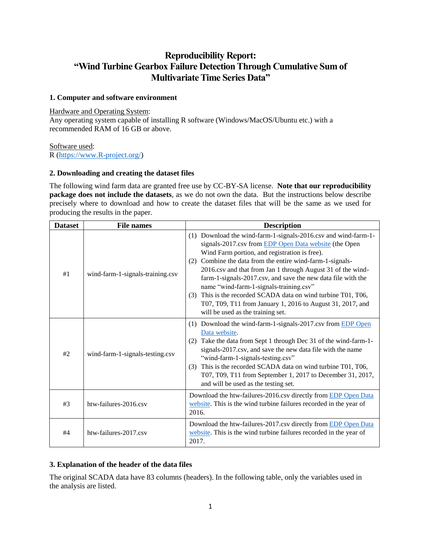## **Reproducibility Report: "Wind Turbine Gearbox Failure Detection Through Cumulative Sum of Multivariate Time Series Data"**

#### **1. Computer and software environment**

#### Hardware and Operating System:

Any operating system capable of installing R software (Windows/MacOS/Ubuntu etc.) with a recommended RAM of 16 GB or above.

### Software used:

R [\(https://www.R-project.org/\)](https://www.r-project.org/)

### **2. Downloading and creating the dataset files**

The following wind farm data are granted free use by CC-BY-SA license. **Note that our reproducibility package does not include the datasets**, as we do not own the data. But the instructions below describe precisely where to download and how to create the dataset files that will be the same as we used for producing the results in the paper.

| <b>Dataset</b> | <b>File names</b>                | <b>Description</b>                                                                                                                                                                                                                                                                                                                                                                                                                                                                                                                                                                        |  |  |
|----------------|----------------------------------|-------------------------------------------------------------------------------------------------------------------------------------------------------------------------------------------------------------------------------------------------------------------------------------------------------------------------------------------------------------------------------------------------------------------------------------------------------------------------------------------------------------------------------------------------------------------------------------------|--|--|
| #1             | wind-farm-1-signals-training.csv | (1) Download the wind-farm-1-signals-2016.csv and wind-farm-1-<br>signals-2017.csv from EDP Open Data website (the Open<br>Wind Farm portion, and registration is free).<br>Combine the data from the entire wind-farm-1-signals-<br>(2)<br>2016.csv and that from Jan 1 through August 31 of the wind-<br>farm-1-signals-2017.csv, and save the new data file with the<br>name "wind-farm-1-signals-training.csv"<br>This is the recorded SCADA data on wind turbine T01, T06,<br>(3)<br>T07, T09, T11 from January 1, 2016 to August 31, 2017, and<br>will be used as the training set. |  |  |
| #2             | wind-farm-1-signals-testing.csv  | (1) Download the wind-farm-1-signals-2017.csv from EDP Open<br>Data website.<br>Take the data from Sept 1 through Dec 31 of the wind-farm-1-<br>(2)<br>signals-2017.csv, and save the new data file with the name<br>"wind-farm-1-signals-testing.csv"<br>This is the recorded SCADA data on wind turbine T01, T06,<br>(3)<br>T07, T09, T11 from September 1, 2017 to December 31, 2017,<br>and will be used as the testing set.                                                                                                                                                          |  |  |
| #3             | htw-failures-2016.csv            | Download the htw-failures-2016.csv directly from EDP Open Data<br>website. This is the wind turbine failures recorded in the year of<br>2016.                                                                                                                                                                                                                                                                                                                                                                                                                                             |  |  |
| #4             | htw-failures-2017.csv            | Download the htw-failures-2017.csv directly from EDP Open Data<br>website. This is the wind turbine failures recorded in the year of<br>2017.                                                                                                                                                                                                                                                                                                                                                                                                                                             |  |  |

### **3. Explanation of the header of the data files**

The original SCADA data have 83 columns (headers). In the following table, only the variables used in the analysis are listed.